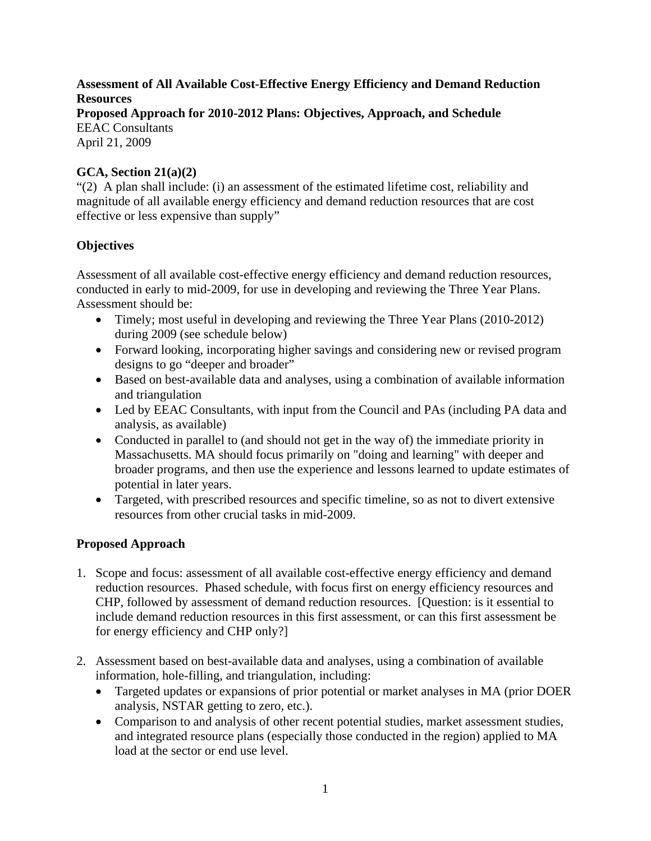# **Assessment of All Available Cost-Effective Energy Efficiency and Demand Reduction Resources**

**Proposed Approach for 2010-2012 Plans: Objectives, Approach, and Schedule**  EEAC Consultants

April 21, 2009

### **GCA, Section 21(a)(2)**

"(2) A plan shall include: (i) an assessment of the estimated lifetime cost, reliability and magnitude of all available energy efficiency and demand reduction resources that are cost effective or less expensive than supply"

## **Objectives**

Assessment of all available cost-effective energy efficiency and demand reduction resources, conducted in early to mid-2009, for use in developing and reviewing the Three Year Plans. Assessment should be:

- Timely; most useful in developing and reviewing the Three Year Plans (2010-2012) during 2009 (see schedule below)
- Forward looking, incorporating higher savings and considering new or revised program designs to go "deeper and broader"
- Based on best-available data and analyses, using a combination of available information and triangulation
- Led by EEAC Consultants, with input from the Council and PAs (including PA data and analysis, as available)
- Conducted in parallel to (and should not get in the way of) the immediate priority in Massachusetts. MA should focus primarily on "doing and learning" with deeper and broader programs, and then use the experience and lessons learned to update estimates of potential in later years.
- Targeted, with prescribed resources and specific timeline, so as not to divert extensive resources from other crucial tasks in mid-2009.

## **Proposed Approach**

- 1. Scope and focus: assessment of all available cost-effective energy efficiency and demand reduction resources. Phased schedule, with focus first on energy efficiency resources and CHP, followed by assessment of demand reduction resources. [Question: is it essential to include demand reduction resources in this first assessment, or can this first assessment be for energy efficiency and CHP only?]
- 2. Assessment based on best-available data and analyses, using a combination of available information, hole-filling, and triangulation, including:
	- Targeted updates or expansions of prior potential or market analyses in MA (prior DOER analysis, NSTAR getting to zero, etc.).
	- Comparison to and analysis of other recent potential studies, market assessment studies, and integrated resource plans (especially those conducted in the region) applied to MA load at the sector or end use level.